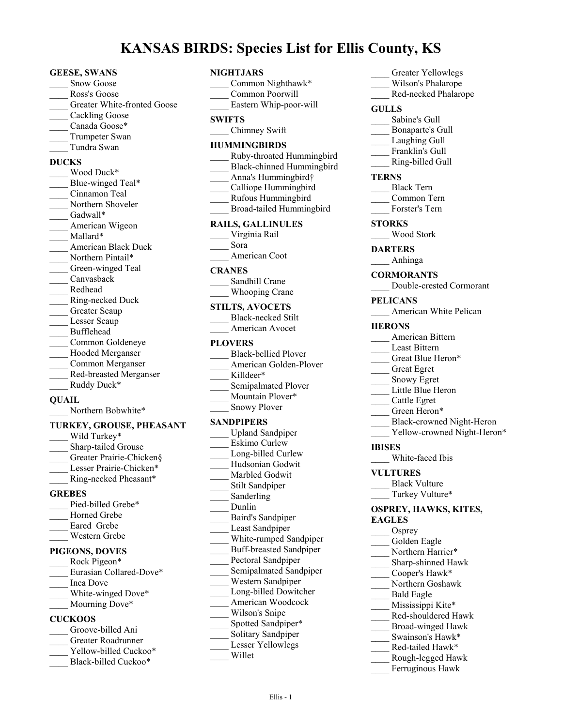# **KANSAS BIRDS: Species List for Ellis County, KS**

#### **GEESE, SWANS**

- Snow Goose
- Ross's Goose
- Greater White-fronted Goose
- Cackling Goose
- Canada Goose\*
- Trumpeter Swan
- \_\_\_\_ Tundra Swan

## **DUCKS**

\_\_\_\_ Wood Duck\* Blue-winged Teal\* \_\_\_\_ Cinnamon Teal Northern Shoveler Gadwall\* American Wigeon Mallard\* \_\_\_\_ American Black Duck Northern Pintail\* Green-winged Teal \_\_\_\_ Canvasback \_\_\_\_ Redhead \_\_\_\_ Ring-necked Duck Greater Scaup Lesser Scaup \_\_\_\_ Bufflehead \_\_\_\_ Common Goldeneye Hooded Merganser \_\_\_\_ Common Merganser \_\_\_\_ Red-breasted Merganser Ruddy Duck\*

#### **QUAIL**

Northern Bobwhite\*

#### **TURKEY, GROUSE, PHEASANT**

- Wild Turkey\* Sharp-tailed Grouse Greater Prairie-Chicken§ Lesser Prairie-Chicken\* \_\_\_\_ Ring-necked Pheasant\* **GREBES** Pied-billed Grebe\* Horned Grebe
- 
- Eared Grebe
- \_\_\_\_ Western Grebe

# **PIGEONS, DOVES**

- Rock Pigeon\* Eurasian Collared-Dove\* \_\_\_\_ Inca Dove White-winged Dove\* Mourning Dove\* **CUCKOOS**
- Groove-billed Ani \_\_\_\_ Greater Roadrunner Yellow-billed Cuckoo\*
- Black-billed Cuckoo\*

#### **NIGHTJARS**

| Common Nighthawk*<br>Common Poorwill                                                                                                                                                  |
|---------------------------------------------------------------------------------------------------------------------------------------------------------------------------------------|
| Eastern Whip-poor-will<br><b>SWIFTS</b>                                                                                                                                               |
| Chimney Swift                                                                                                                                                                         |
| <b>HUMMINGBIRDS</b><br>Ruby-throated Hummingbird<br><b>Black-chinned Hummingbird</b><br>Anna's Hummingbird†<br>Calliope Hummingbird<br>Rufous Hummingbird<br>Broad-tailed Hummingbird |
| <b>RAILS, GALLINULES</b><br>Virginia Rail<br>Sora                                                                                                                                     |
| American Coot                                                                                                                                                                         |
| <b>CRANES</b><br>Sandhill Crane<br>Whooping Crane                                                                                                                                     |
| <b>STILTS, AVOCETS</b><br><b>Black-necked Stilt</b><br>American Avocet                                                                                                                |
| <b>PLOVERS</b><br><b>Black-bellied Plover</b><br>American Golden-Plover<br>Killdeer*<br>Semipalmated Plover<br>Mountain Plover*<br><b>Snowy Plover</b>                                |
| SANDPIPERS                                                                                                                                                                            |
| <b>Upland Sandpiper</b><br>Eskimo Curlew<br>Long-billed Curlew<br>Hudsonian Godwit<br>Marbled Godwit<br><b>Stilt Sandpiper</b><br>Sanderling<br>Dunlin                                |
| Baird's Sandpiper<br>Least Sandpiper<br>White-rumped Sandpiper                                                                                                                        |
| <b>Buff-breasted Sandpiper</b><br>Pectoral Sandpiper<br>Semipalmated Sandpiper<br>Western Sandpiper<br>Long-billed Dowitcher<br>American Woodcock                                     |
| Wilson's Snipe<br>Spotted Sandpiper*<br>Solitary Sandpiper<br>Lesser Yellowlegs<br>Willet                                                                                             |

# Greater Yellowlegs Wilson's Phalarope \_\_\_\_ Red-necked Phalarope **GULLS** Sabine's Gull \_\_\_\_ Bonaparte's Gull Laughing Gull Franklin's Gull \_\_\_\_ Ring-billed Gull **TERNS** \_\_\_\_ Black Tern \_\_\_\_ Common Tern \_\_\_\_ Forster's Tern **STORKS** \_\_\_\_ Wood Stork **DARTERS** \_\_\_\_ Anhinga **CORMORANTS** \_\_\_\_ Double-crested Cormorant **PELICANS** American White Pelican **HERONS** \_\_\_\_ American Bittern Least Bittern Great Blue Heron\* \_\_\_\_ Great Egret \_\_\_\_ Snowy Egret Little Blue Heron \_\_\_\_ Cattle Egret Green Heron\* \_\_\_\_ Black-crowned Night-Heron Yellow-crowned Night-Heron\* **IBISES** \_\_\_\_ White-faced Ibis **VULTURES** Black Vulture Turkey Vulture\* **OSPREY, HAWKS, KITES, EAGLES** Osprey Golden Eagle Northern Harrier\* \_\_\_\_ Sharp-shinned Hawk \_\_\_\_ Cooper's Hawk\* \_\_\_\_ Northern Goshawk \_\_\_\_ Bald Eagle Mississippi Kite\* \_\_\_\_ Red-shouldered Hawk \_\_\_\_ Broad-winged Hawk Swainson's Hawk\* Red-tailed Hawk\*

- \_\_\_\_ Rough-legged Hawk
- Ferruginous Hawk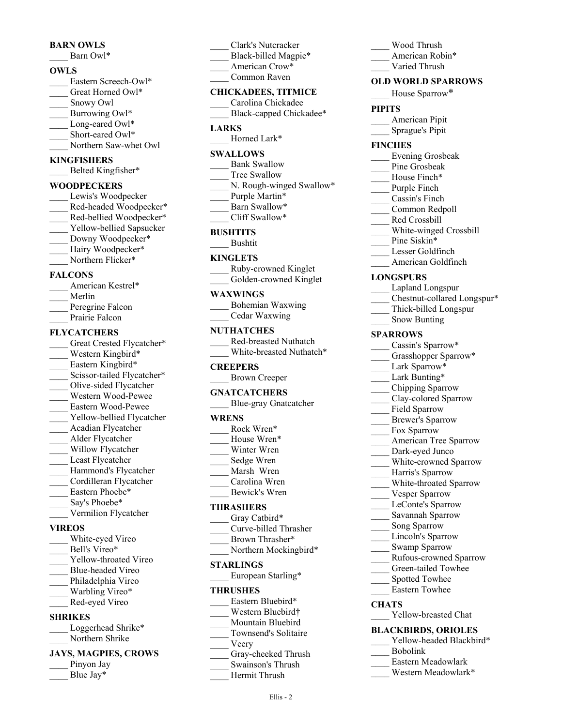#### **BARN OWLS**

Barn Owl\*

#### **OWLS**

Eastern Screech-Owl\* Great Horned Owl\* Snowy Owl Burrowing Owl\* Long-eared Owl\* Short-eared Owl\* Northern Saw-whet Owl **KINGFISHERS**

#### Belted Kingfisher\*

#### **WOODPECKERS**

Lewis's Woodpecker Red-headed Woodpecker\* Red-bellied Woodpecker\* Yellow-bellied Sapsucker Downy Woodpecker\* Hairy Woodpecker\* Northern Flicker\* **FALCONS**

# American Kestrel\*

- \_\_\_\_ Merlin
- Peregrine Falcon
- Prairie Falcon

#### **FLYCATCHERS**

Great Crested Flycatcher\* Western Kingbird\* Eastern Kingbird\* Scissor-tailed Flycatcher\* \_\_\_\_ Olive-sided Flycatcher \_\_\_\_ Western Wood-Pewee \_\_\_\_ Eastern Wood-Pewee Yellow-bellied Flycatcher \_\_\_\_ Acadian Flycatcher \_\_\_\_ Alder Flycatcher Willow Flycatcher Least Flycatcher Hammond's Flycatcher \_\_\_\_ Cordilleran Flycatcher Eastern Phoebe\* Say's Phoebe\* \_\_\_\_ Vermilion Flycatcher **VIREOS** White-eyed Vireo

Bell's Vireo\* Yellow-throated Vireo \_\_\_\_ Blue-headed Vireo Philadelphia Vireo Warbling Vireo\* \_\_\_\_ Red-eyed Vireo

#### **SHRIKES**

Loggerhead Shrike\* Northern Shrike

#### **JAYS, MAGPIES, CROWS**

- Pinyon Jay
- Blue Jay\*
- \_\_\_\_ Clark's Nutcracker Black-billed Magpie\* American Crow\*
- Common Raven

#### **CHICKADEES, TITMICE**

\_\_\_\_ Carolina Chickadee Black-capped Chickadee\*

#### **LARKS**

Horned Lark\*

#### **SWALLOWS**

- Bank Swallow
- Tree Swallow
- N. Rough-winged Swallow\*
- Purple Martin\*
- Barn Swallow\*
- Cliff Swallow\*

#### **BUSHTITS**

\_\_\_\_ Bushtit

#### **KINGLETS**

- \_\_\_\_ Ruby-crowned Kinglet
- Golden-crowned Kinglet

### **WAXWINGS**

\_\_\_\_ Bohemian Waxwing \_\_\_\_ Cedar Waxwing

#### **NUTHATCHES**

\_\_\_\_ Red-breasted Nuthatch White-breasted Nuthatch\*

#### **CREEPERS**

\_\_\_\_ Brown Creeper

#### **GNATCATCHERS**

\_\_\_\_ Blue-gray Gnatcatcher

#### **WRENS**

| Rock Wren*    |  |
|---------------|--|
| House Wren*   |  |
| Winter Wren   |  |
| Sedge Wren    |  |
| Marsh Wren    |  |
| Carolina Wren |  |
| Bewick's Wren |  |
| THRASHERS     |  |
| Gray Catbird* |  |

| Curve-billed Thrasher |
|-----------------------|
| Brown Thrasher*       |

Northern Mockingbird\*

#### **STARLINGS**

European Starling\*

#### **THRUSHES**

- Eastern Bluebird\* Western Bluebird† Mountain Bluebird \_\_\_\_ Townsend's Solitaire \_\_\_\_ Veery Gray-cheeked Thrush \_\_\_\_ Swainson's Thrush
	- \_\_\_\_ Hermit Thrush

Ellis - 2

- \_\_\_\_ Wood Thrush
- American Robin\*
	- Varied Thrush

#### **OLD WORLD SPARROWS**

House Sparrow\*

#### **PIPITS**

\_\_\_\_ American Pipit \_\_\_\_ Sprague's Pipit

#### **FINCHES**

- \_\_\_\_ Evening Grosbeak
- Pine Grosbeak
- House Finch\*
- Purple Finch
- \_\_\_\_ Cassin's Finch
- Common Redpoll
- \_\_\_\_ Red Crossbill
- \_\_\_\_ White-winged Crossbill
- Pine Siskin\*
- \_\_\_\_ Lesser Goldfinch
- American Goldfinch

#### **LONGSPURS**

- Lapland Longspur
- \_\_\_\_ Chestnut-collared Longspur\*
- \_\_\_\_ Thick-billed Longspur
- Snow Bunting

#### **SPARROWS**

- Cassin's Sparrow\*
- Grasshopper Sparrow\*
- Lark Sparrow\*
- Lark Bunting\*
- \_\_\_\_ Chipping Sparrow
- Clay-colored Sparrow
- Field Sparrow
- \_\_\_\_ Brewer's Sparrow
- Fox Sparrow
- American Tree Sparrow
- Dark-eyed Junco
- White-crowned Sparrow
- Harris's Sparrow
- White-throated Sparrow
- Vesper Sparrow
- LeConte's Sparrow
- \_\_\_\_ Savannah Sparrow
- Song Sparrow
- Lincoln's Sparrow

\_\_\_\_ Bobolink

**CHATS**

Swamp Sparrow \_\_\_\_ Rufous-crowned Sparrow

> Green-tailed Towhee Spotted Towhee \_\_\_\_ Eastern Towhee

Yellow-breasted Chat **BLACKBIRDS, ORIOLES**

> Eastern Meadowlark Western Meadowlark\*

Yellow-headed Blackbird\*